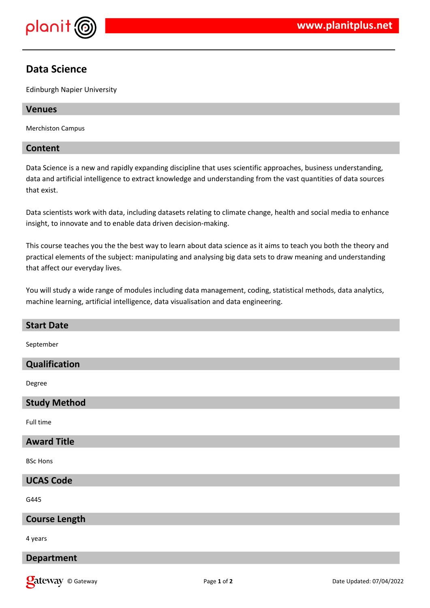

# **Data Science**

Edinburgh Napier University

### **Venues**

Merchiston Campus

## **Content**

Data Science is a new and rapidly expanding discipline that uses scientific approaches, business understanding, data and artificial intelligence to extract knowledge and understanding from the vast quantities of data sources that exist.

Data scientists work with data, including datasets relating to climate change, health and social media to enhance insight, to innovate and to enable data driven decision-making.

This course teaches you the the best way to learn about data science as it aims to teach you both the theory and practical elements of the subject: manipulating and analysing big data sets to draw meaning and understanding that affect our everyday lives.

You will study a wide range of modules including data management, coding, statistical methods, data analytics, machine learning, artificial intelligence, data visualisation and data engineering.

| <b>Start Date</b>    |
|----------------------|
| September            |
| Qualification        |
| Degree               |
| <b>Study Method</b>  |
| Full time            |
| <b>Award Title</b>   |
| <b>BSc Hons</b>      |
| <b>UCAS Code</b>     |
| G445                 |
| <b>Course Length</b> |
| 4 years              |
| <b>Department</b>    |